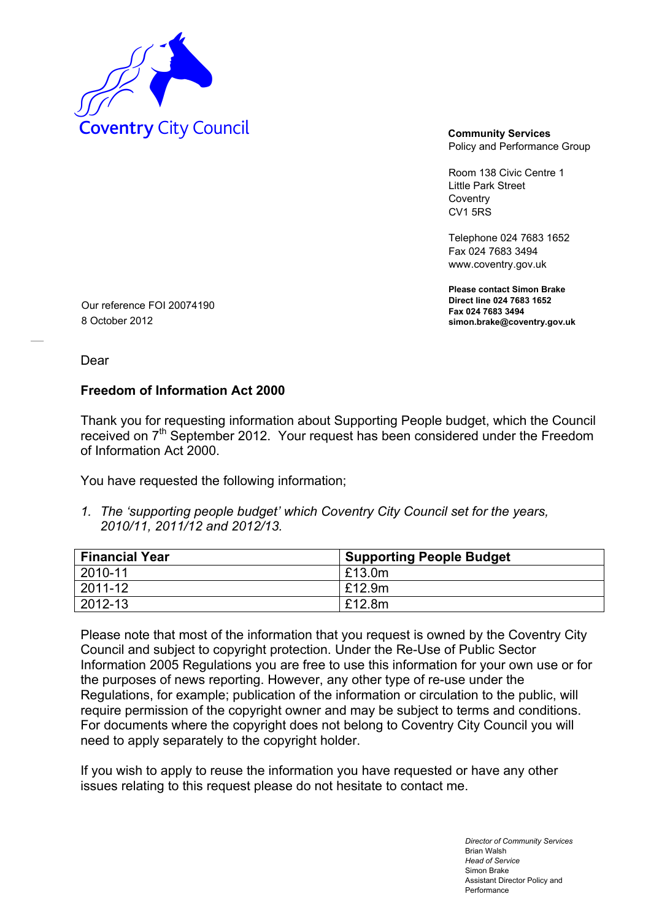

Policy and Performance Group

Room 138 Civic Centre 1 Little Park Street **Coventry** CV1 5RS

Telephone 024 7683 1652 Fax 024 7683 3494 www.coventry.gov.uk

**Please contact Simon Brake Direct line 024 7683 1652 Fax 024 7683 3494 simon.brake@coventry.gov.uk** 

Our reference FOI 20074190 8 October 2012

Dear

## **Freedom of Information Act 2000**

Thank you for requesting information about Supporting People budget, which the Council received on 7<sup>th</sup> September 2012. Your request has been considered under the Freedom of Information Act 2000.

You have requested the following information;

*1. The 'supporting people budget' which Coventry City Council set for the years, 2010/11, 2011/12 and 2012/13.* 

| <b>Financial Year</b> | <b>Supporting People Budget</b> |
|-----------------------|---------------------------------|
| 2010-11               | £13.0m                          |
| 2011-12               | £12.9m                          |
| 2012-13               | £12.8m                          |

Please note that most of the information that you request is owned by the Coventry City Council and subject to copyright protection. Under the Re-Use of Public Sector Information 2005 Regulations you are free to use this information for your own use or for the purposes of news reporting. However, any other type of re-use under the Regulations, for example; publication of the information or circulation to the public, will require permission of the copyright owner and may be subject to terms and conditions. For documents where the copyright does not belong to Coventry City Council you will need to apply separately to the copyright holder.

If you wish to apply to reuse the information you have requested or have any other issues relating to this request please do not hesitate to contact me.

> *Director of Community Services*  Brian Walsh *Head of Service*  Simon Brake Assistant Director Policy and Performance